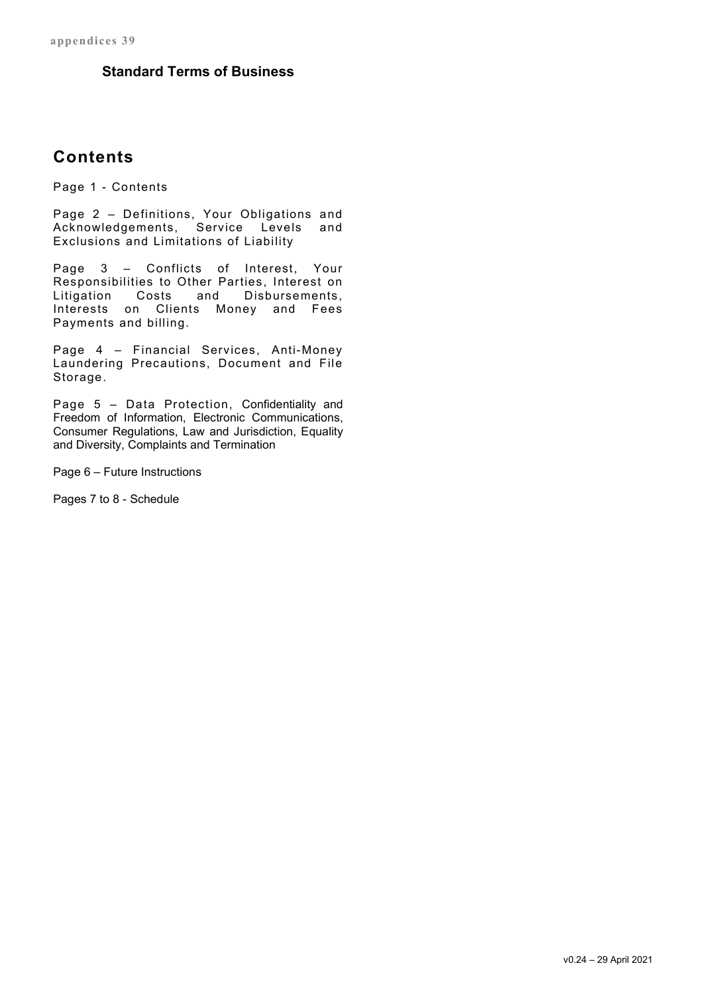## Standard Terms of Business

## **Contents**

Page 1 - Contents

Page 2 – Definitions, Your Obligations and Acknowledgements, Service Levels and Exclusions and Limitations of Liability

Page 3 – Conflicts of Interest, Your Responsibilities to Other Parties, Interest on<br>Litigation Costs and Disbursements, Costs and Disbursements, Interests on Clients Money and Fees Payments and billing.

Page 4 – Financial Services, Anti-Money Laundering Precautions, Document and File Storage.

Page 5 – Data Protection, Confidentiality and Freedom of Information, Electronic Communications, Consumer Regulations, Law and Jurisdiction, Equality and Diversity, Complaints and Termination

Page 6 – Future Instructions

Pages 7 to 8 - Schedule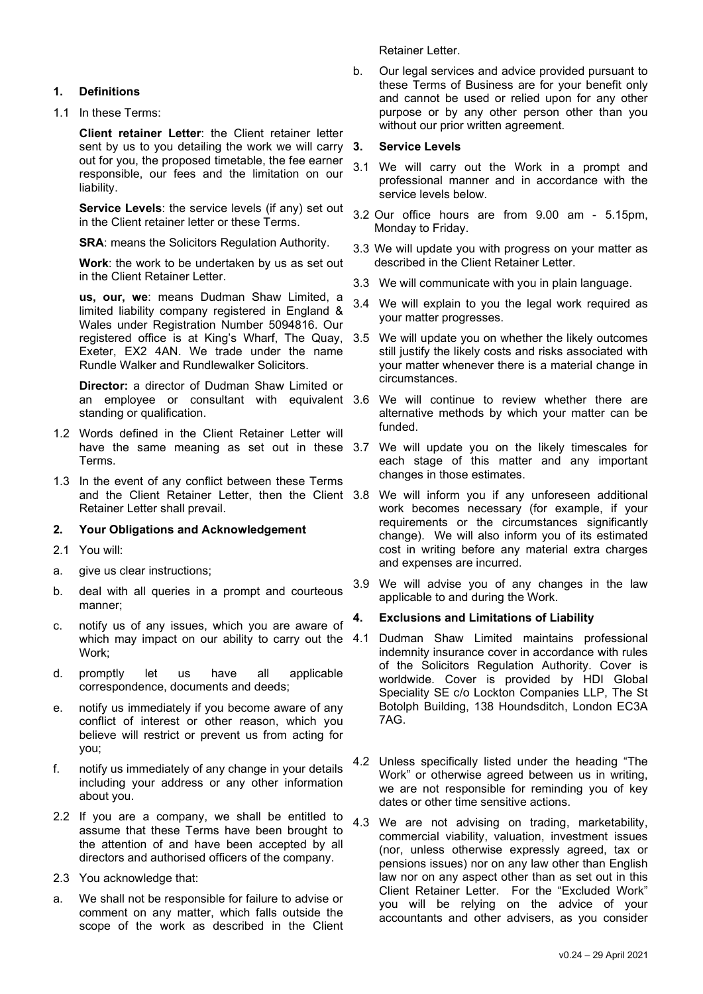Retainer Letter.

#### 1. Definitions

1.1 In these Terms:

Client retainer Letter: the Client retainer letter sent by us to you detailing the work we will carry 3. out for you, the proposed timetable, the fee earner responsible, our fees and the limitation on our liability.

Service Levels: the service levels (if any) set out in the Client retainer letter or these Terms.

**SRA: means the Solicitors Regulation Authority.** 

Work: the work to be undertaken by us as set out in the Client Retainer Letter.

us, our, we: means Dudman Shaw Limited, a limited liability company registered in England & Wales under Registration Number 5094816. Our registered office is at King's Wharf, The Quay, Exeter, EX2 4AN. We trade under the name Rundle Walker and Rundlewalker Solicitors.

Director: a director of Dudman Shaw Limited or standing or qualification.

- 1.2 Words defined in the Client Retainer Letter will have the same meaning as set out in these Terms.
- 1.3 In the event of any conflict between these Terms Retainer Letter shall prevail.

#### 2. Your Obligations and Acknowledgement

- 2.1 You will:
- a. give us clear instructions;
- b. deal with all queries in a prompt and courteous manner;
- c. notify us of any issues, which you are aware of which may impact on our ability to carry out the Work;
- d. promptly let us have all applicable correspondence, documents and deeds;
- e. notify us immediately if you become aware of any conflict of interest or other reason, which you believe will restrict or prevent us from acting for you;
- f. notify us immediately of any change in your details including your address or any other information about you.
- 2.2 If you are a company, we shall be entitled to assume that these Terms have been brought to the attention of and have been accepted by all directors and authorised officers of the company.
- 2.3 You acknowledge that:
- a. We shall not be responsible for failure to advise or comment on any matter, which falls outside the scope of the work as described in the Client

b. Our legal services and advice provided pursuant to these Terms of Business are for your benefit only and cannot be used or relied upon for any other purpose or by any other person other than you without our prior written agreement.

#### Service Levels

- 3.1 We will carry out the Work in a prompt and professional manner and in accordance with the service levels below.
- 3.2 Our office hours are from 9.00 am 5.15pm, Monday to Friday.
- 3.3 We will update you with progress on your matter as described in the Client Retainer Letter.
- 3.3 We will communicate with you in plain language.
- 3.4 We will explain to you the legal work required as your matter progresses.
- 3.5 We will update you on whether the likely outcomes still justify the likely costs and risks associated with your matter whenever there is a material change in circumstances.
- an employee or consultant with equivalent 3.6 We will continue to review whether there are alternative methods by which your matter can be funded.
	- 3.7 We will update you on the likely timescales for each stage of this matter and any important changes in those estimates.
- and the Client Retainer Letter, then the Client 3.8 We will inform you if any unforeseen additional work becomes necessary (for example, if your requirements or the circumstances significantly change). We will also inform you of its estimated cost in writing before any material extra charges and expenses are incurred.
	- 3.9 We will advise you of any changes in the law applicable to and during the Work.

#### **Exclusions and Limitations of Liability**

- 4.1 Dudman Shaw Limited maintains professional indemnity insurance cover in accordance with rules of the Solicitors Regulation Authority. Cover is worldwide. Cover is provided by HDI Global Speciality SE c/o Lockton Companies LLP, The St Botolph Building, 138 Houndsditch, London EC3A 7AG.
- 4.2 Unless specifically listed under the heading "The Work" or otherwise agreed between us in writing, we are not responsible for reminding you of key dates or other time sensitive actions.
- 4.3 We are not advising on trading, marketability, commercial viability, valuation, investment issues (nor, unless otherwise expressly agreed, tax or pensions issues) nor on any law other than English law nor on any aspect other than as set out in this Client Retainer Letter. For the "Excluded Work" you will be relying on the advice of your accountants and other advisers, as you consider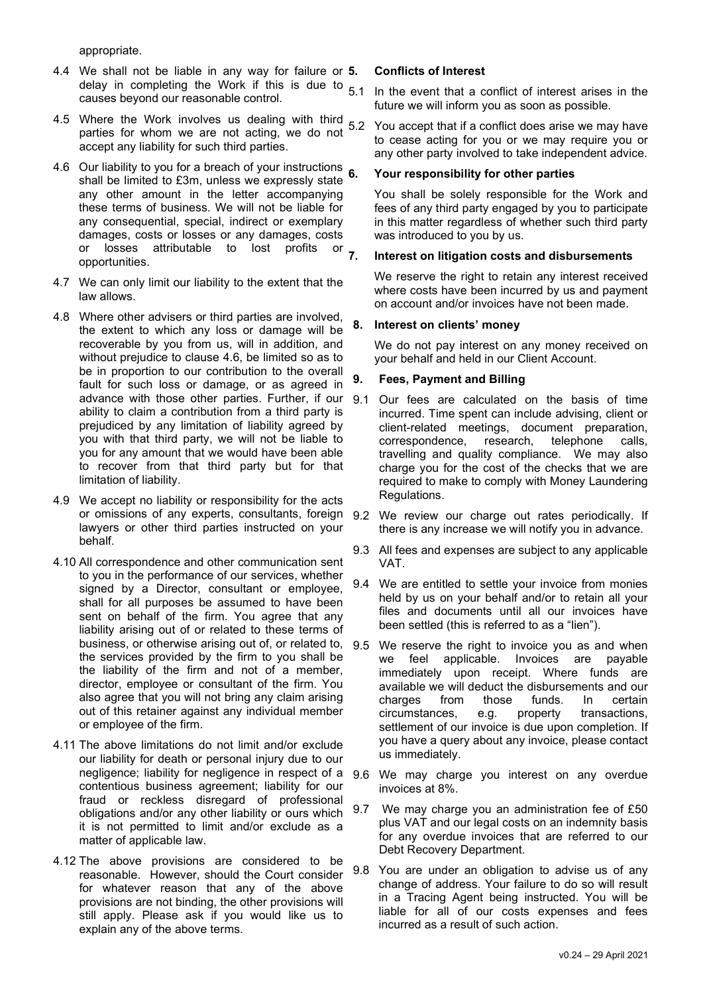appropriate.

- 4.4 We shall not be liable in any way for failure or 5. delay in completing the Work if this is due to  $51$ causes beyond our reasonable control.
- 4.5 Where the Work involves us dealing with third  $52$ parties for whom we are not acting, we do not accept any liability for such third parties.
- 4.6 Our liability to you for a breach of your instructions  $6$ . shall be limited to £3m, unless we expressly state any other amount in the letter accompanying these terms of business. We will not be liable for any consequential, special, indirect or exemplary damages, costs or losses or any damages, costs<br>or losses attributable to lost profits or  $\overline{7}$ . losses attributable to lost profits opportunities.
- 4.7 We can only limit our liability to the extent that the law allows.
- 4.8 Where other advisers or third parties are involved, the extent to which any loss or damage will be recoverable by you from us, will in addition, and without prejudice to clause 4.6, be limited so as to be in proportion to our contribution to the overall fault for such loss or damage, or as agreed in advance with those other parties. Further, if our ability to claim a contribution from a third party is prejudiced by any limitation of liability agreed by you with that third party, we will not be liable to you for any amount that we would have been able to recover from that third party but for that limitation of liability.
- 4.9 We accept no liability or responsibility for the acts or omissions of any experts, consultants, foreign lawyers or other third parties instructed on your behalf.
- 4.10 All correspondence and other communication sent to you in the performance of our services, whether signed by a Director, consultant or employee, shall for all purposes be assumed to have been sent on behalf of the firm. You agree that any liability arising out of or related to these terms of the services provided by the firm to you shall be the liability of the firm and not of a member, director, employee or consultant of the firm. You also agree that you will not bring any claim arising out of this retainer against any individual member or employee of the firm.
- 4.11 The above limitations do not limit and/or exclude our liability for death or personal injury due to our contentious business agreement; liability for our fraud or reckless disregard of professional obligations and/or any other liability or ours which it is not permitted to limit and/or exclude as a matter of applicable law.
- 4.12 The above provisions are considered to be reasonable. However, should the Court consider for whatever reason that any of the above provisions are not binding, the other provisions will still apply. Please ask if you would like us to explain any of the above terms.

#### 5. Conflicts of Interest

In the event that a conflict of interest arises in the future we will inform you as soon as possible.

You accept that if a conflict does arise we may have to cease acting for you or we may require you or any other party involved to take independent advice.

#### Your responsibility for other parties

 You shall be solely responsible for the Work and fees of any third party engaged by you to participate in this matter regardless of whether such third party was introduced to you by us.

#### Interest on litigation costs and disbursements

 We reserve the right to retain any interest received where costs have been incurred by us and payment on account and/or invoices have not been made.

#### 8. Interest on clients' money

We do not pay interest on any money received on your behalf and held in our Client Account.

#### 9. Fees, Payment and Billing

- 9.1 Our fees are calculated on the basis of time incurred. Time spent can include advising, client or client-related meetings, document preparation, correspondence, research, telephone calls, travelling and quality compliance. We may also charge you for the cost of the checks that we are required to make to comply with Money Laundering Regulations.
- 9.2 We review our charge out rates periodically. If there is any increase we will notify you in advance.
- 9.3 All fees and expenses are subject to any applicable VAT.
- 9.4 We are entitled to settle your invoice from monies held by us on your behalf and/or to retain all your files and documents until all our invoices have been settled (this is referred to as a "lien").
- business, or otherwise arising out of, or related to, 9.5 We reserve the right to invoice you as and when we feel applicable. Invoices are payable immediately upon receipt. Where funds are available we will deduct the disbursements and our charges from those funds. In certain circumstances, e.g. property transactions, settlement of our invoice is due upon completion. If you have a query about any invoice, please contact us immediately.
- negligence; liability for negligence in respect of a 9.6 We may charge you interest on any overdue invoices at 8%.
	- 9.7 We may charge you an administration fee of £50 plus VAT and our legal costs on an indemnity basis for any overdue invoices that are referred to our Debt Recovery Department.
	- 9.8 You are under an obligation to advise us of any change of address. Your failure to do so will result in a Tracing Agent being instructed. You will be liable for all of our costs expenses and fees incurred as a result of such action.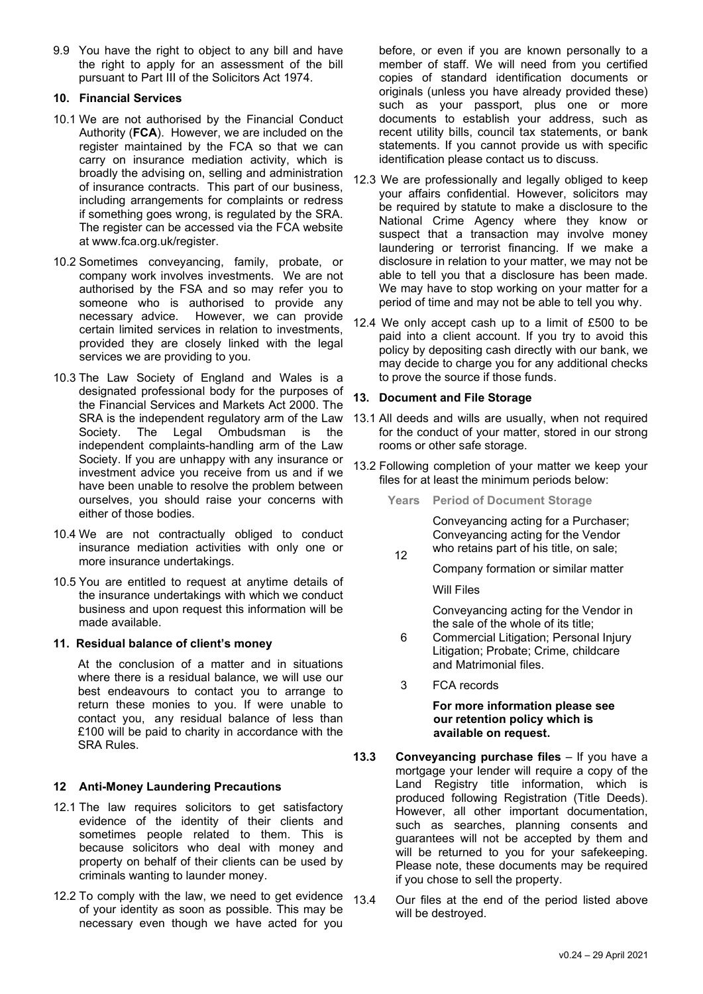9.9 You have the right to object to any bill and have the right to apply for an assessment of the bill pursuant to Part III of the Solicitors Act 1974.

#### 10. Financial Services

- 10.1 We are not authorised by the Financial Conduct Authority (FCA). However, we are included on the register maintained by the FCA so that we can carry on insurance mediation activity, which is broadly the advising on, selling and administration of insurance contracts. This part of our business, including arrangements for complaints or redress if something goes wrong, is regulated by the SRA. The register can be accessed via the FCA website at www.fca.org.uk/register.
- 10.2 Sometimes conveyancing, family, probate, or company work involves investments. We are not authorised by the FSA and so may refer you to someone who is authorised to provide any necessary advice. However, we can provide certain limited services in relation to investments, provided they are closely linked with the legal services we are providing to you.
- 10.3 The Law Society of England and Wales is a designated professional body for the purposes of the Financial Services and Markets Act 2000. The SRA is the independent regulatory arm of the Law<br>Society. The Legal Ombudsman is the The Legal Ombudsman is the independent complaints-handling arm of the Law Society. If you are unhappy with any insurance or investment advice you receive from us and if we have been unable to resolve the problem between ourselves, you should raise your concerns with either of those bodies.
- 10.4 We are not contractually obliged to conduct insurance mediation activities with only one or more insurance undertakings.
- 10.5 You are entitled to request at anytime details of the insurance undertakings with which we conduct business and upon request this information will be made available.

#### 11. Residual balance of client's money

At the conclusion of a matter and in situations where there is a residual balance, we will use our best endeavours to contact you to arrange to return these monies to you. If were unable to contact you, any residual balance of less than £100 will be paid to charity in accordance with the SRA Rules.

### 12 Anti-Money Laundering Precautions

- 12.1 The law requires solicitors to get satisfactory evidence of the identity of their clients and sometimes people related to them. This is because solicitors who deal with money and property on behalf of their clients can be used by criminals wanting to launder money.
- 12.2 To comply with the law, we need to get evidence of your identity as soon as possible. This may be necessary even though we have acted for you

before, or even if you are known personally to a member of staff. We will need from you certified copies of standard identification documents or originals (unless you have already provided these) such as your passport, plus one or more documents to establish your address, such as recent utility bills, council tax statements, or bank statements. If you cannot provide us with specific identification please contact us to discuss.

- 12.3 We are professionally and legally obliged to keep your affairs confidential. However, solicitors may be required by statute to make a disclosure to the National Crime Agency where they know or suspect that a transaction may involve money laundering or terrorist financing. If we make a disclosure in relation to your matter, we may not be able to tell you that a disclosure has been made. We may have to stop working on your matter for a period of time and may not be able to tell you why.
- 12.4 We only accept cash up to a limit of £500 to be paid into a client account. If you try to avoid this policy by depositing cash directly with our bank, we may decide to charge you for any additional checks to prove the source if those funds.

#### 13. Document and File Storage

- 13.1 All deeds and wills are usually, when not required for the conduct of your matter, stored in our strong rooms or other safe storage.
- 13.2 Following completion of your matter we keep your files for at least the minimum periods below:
	- Years Period of Document Storage

Conveyancing acting for a Purchaser; Conveyancing acting for the Vendor who retains part of his title, on sale;

 12 Company formation or similar matter

Will Files

Conveyancing acting for the Vendor in the sale of the whole of its title;

- 6 Commercial Litigation; Personal Injury Litigation; Probate; Crime, childcare and Matrimonial files.
- 3 FCA records

#### For more information please see our retention policy which is available on request.

- 13.3 Conveyancing purchase files If you have a mortgage your lender will require a copy of the Land Registry title information, which is produced following Registration (Title Deeds). However, all other important documentation, such as searches, planning consents and guarantees will not be accepted by them and will be returned to you for your safekeeping. Please note, these documents may be required if you chose to sell the property.
- 13.4 Our files at the end of the period listed above will be destroyed.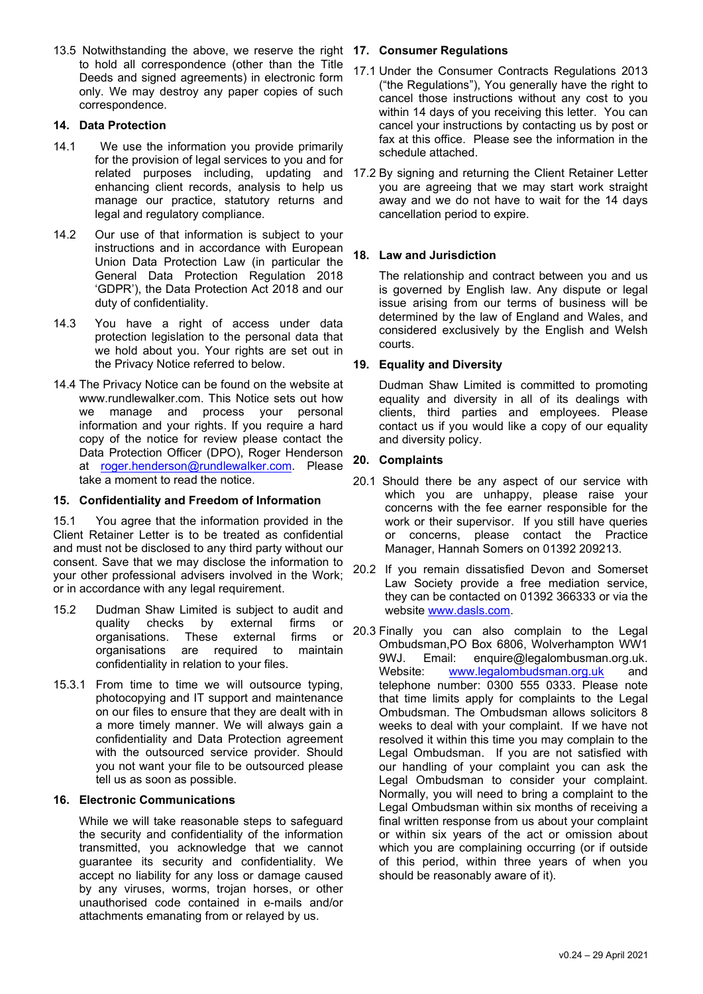13.5 Notwithstanding the above, we reserve the right 17. Consumer Regulations to hold all correspondence (other than the Title Deeds and signed agreements) in electronic form only. We may destroy any paper copies of such correspondence.

#### 14. Data Protection

- 14.1 We use the information you provide primarily for the provision of legal services to you and for related purposes including, updating and enhancing client records, analysis to help us manage our practice, statutory returns and legal and regulatory compliance.
- 14.2 Our use of that information is subject to your instructions and in accordance with European Union Data Protection Law (in particular the General Data Protection Regulation 2018 'GDPR'), the Data Protection Act 2018 and our duty of confidentiality.
- 14.3 You have a right of access under data protection legislation to the personal data that we hold about you. Your rights are set out in the Privacy Notice referred to below.
- 14.4 The Privacy Notice can be found on the website at www.rundlewalker.com. This Notice sets out how we manage and process your personal information and your rights. If you require a hard copy of the notice for review please contact the Data Protection Officer (DPO), Roger Henderson at roger.henderson@rundlewalker.com. Please take a moment to read the notice.

#### 15. Confidentiality and Freedom of Information

15.1 You agree that the information provided in the Client Retainer Letter is to be treated as confidential and must not be disclosed to any third party without our consent. Save that we may disclose the information to your other professional advisers involved in the Work; or in accordance with any legal requirement.

- 15.2 Dudman Shaw Limited is subject to audit and quality checks by external firms or organisations. These external firms or organisations are required to maintain confidentiality in relation to your files.
- 15.3.1 From time to time we will outsource typing, photocopying and IT support and maintenance on our files to ensure that they are dealt with in a more timely manner. We will always gain a confidentiality and Data Protection agreement with the outsourced service provider. Should you not want your file to be outsourced please tell us as soon as possible.

#### 16. Electronic Communications

 While we will take reasonable steps to safeguard the security and confidentiality of the information transmitted, you acknowledge that we cannot guarantee its security and confidentiality. We accept no liability for any loss or damage caused by any viruses, worms, trojan horses, or other unauthorised code contained in e-mails and/or attachments emanating from or relayed by us.

- 17.1 Under the Consumer Contracts Regulations 2013 ("the Regulations"), You generally have the right to cancel those instructions without any cost to you within 14 days of you receiving this letter. You can cancel your instructions by contacting us by post or fax at this office. Please see the information in the schedule attached.
- 17.2 By signing and returning the Client Retainer Letter you are agreeing that we may start work straight away and we do not have to wait for the 14 days cancellation period to expire.

#### 18. Law and Jurisdiction

 The relationship and contract between you and us is governed by English law. Any dispute or legal issue arising from our terms of business will be determined by the law of England and Wales, and considered exclusively by the English and Welsh courts.

#### 19. Equality and Diversity

 Dudman Shaw Limited is committed to promoting equality and diversity in all of its dealings with clients, third parties and employees. Please contact us if you would like a copy of our equality and diversity policy.

#### 20. Complaints

- 20.1 Should there be any aspect of our service with which you are unhappy, please raise your concerns with the fee earner responsible for the work or their supervisor. If you still have queries or concerns, please contact the Practice Manager, Hannah Somers on 01392 209213.
- 20.2 If you remain dissatisfied Devon and Somerset Law Society provide a free mediation service, they can be contacted on 01392 366333 or via the website www.dasls.com.
- 20.3 Finally you can also complain to the Legal Ombudsman,PO Box 6806, Wolverhampton WW1<br>9WJ. Email: enquire@legalombusman.org.uk. 9WJ. Email: enquire@legalombusman.org.uk. Website: www.legalombudsman.org.uk and telephone number: 0300 555 0333. Please note that time limits apply for complaints to the Legal Ombudsman. The Ombudsman allows solicitors 8 weeks to deal with your complaint. If we have not resolved it within this time you may complain to the Legal Ombudsman. If you are not satisfied with our handling of your complaint you can ask the Legal Ombudsman to consider your complaint. Normally, you will need to bring a complaint to the Legal Ombudsman within six months of receiving a final written response from us about your complaint or within six years of the act or omission about which you are complaining occurring (or if outside of this period, within three years of when you should be reasonably aware of it).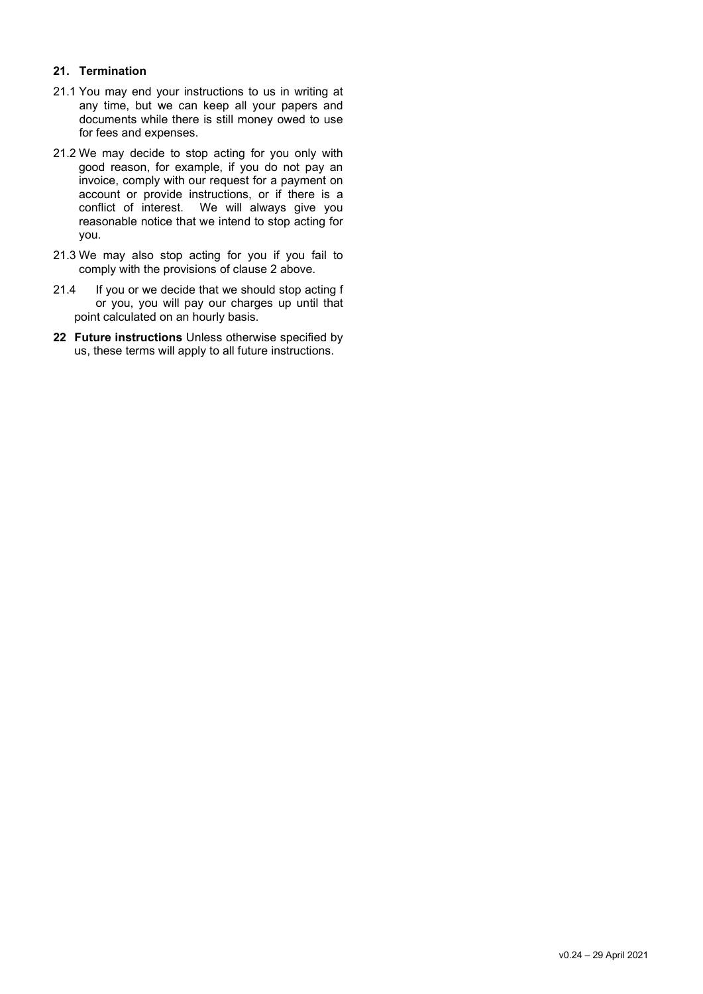### 21. Termination

- 21.1 You may end your instructions to us in writing at any time, but we can keep all your papers and documents while there is still money owed to use for fees and expenses.
- 21.2 We may decide to stop acting for you only with good reason, for example, if you do not pay an invoice, comply with our request for a payment on account or provide instructions, or if there is a conflict of interest. We will always give you reasonable notice that we intend to stop acting for you.
- 21.3 We may also stop acting for you if you fail to comply with the provisions of clause 2 above.
- 21.4 If you or we decide that we should stop acting f or you, you will pay our charges up until that point calculated on an hourly basis.
- 22 Future instructions Unless otherwise specified by us, these terms will apply to all future instructions.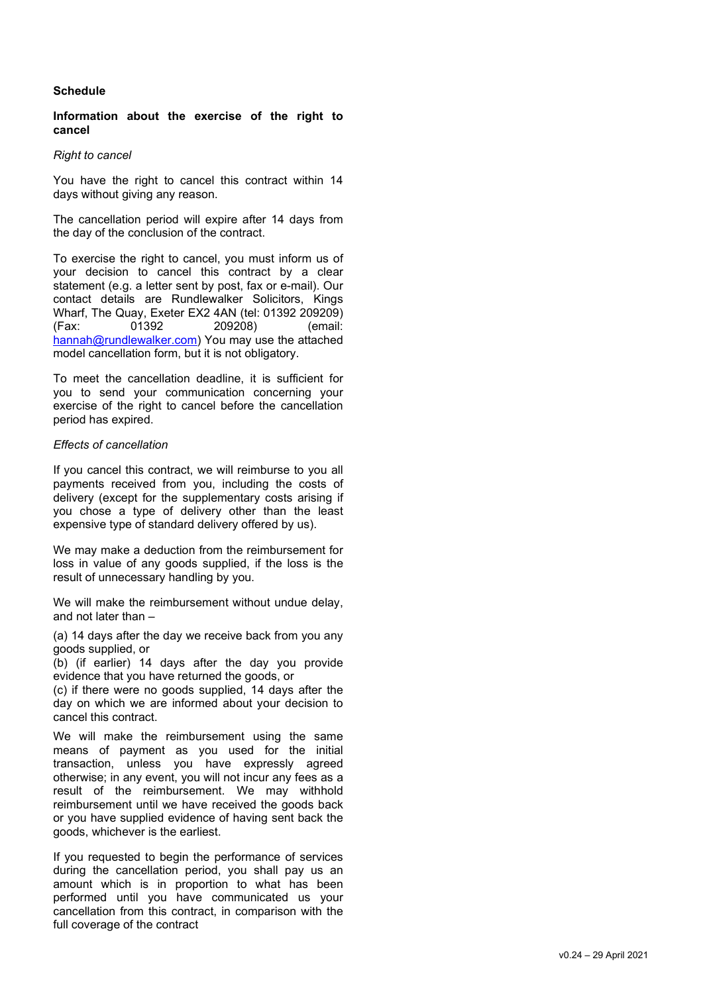#### Schedule

Information about the exercise of the right to cancel

#### Right to cancel

You have the right to cancel this contract within 14 days without giving any reason.

The cancellation period will expire after 14 days from the day of the conclusion of the contract.

To exercise the right to cancel, you must inform us of your decision to cancel this contract by a clear statement (e.g. a letter sent by post, fax or e-mail). Our contact details are Rundlewalker Solicitors, Kings Wharf, The Quay, Exeter EX2 4AN (tel: 01392 209209)<br>(Fax: 01392 209208) (Fax: 01392 01392 209208) (email: hannah@rundlewalker.com) You may use the attached model cancellation form, but it is not obligatory.

To meet the cancellation deadline, it is sufficient for you to send your communication concerning your exercise of the right to cancel before the cancellation period has expired.

#### Effects of cancellation

If you cancel this contract, we will reimburse to you all payments received from you, including the costs of delivery (except for the supplementary costs arising if you chose a type of delivery other than the least expensive type of standard delivery offered by us).

We may make a deduction from the reimbursement for loss in value of any goods supplied, if the loss is the result of unnecessary handling by you.

We will make the reimbursement without undue delay. and not later than –

(a) 14 days after the day we receive back from you any goods supplied, or

(b) (if earlier) 14 days after the day you provide evidence that you have returned the goods, or

(c) if there were no goods supplied, 14 days after the day on which we are informed about your decision to cancel this contract.

We will make the reimbursement using the same means of payment as you used for the initial transaction, unless you have expressly agreed otherwise; in any event, you will not incur any fees as a result of the reimbursement. We may withhold reimbursement until we have received the goods back or you have supplied evidence of having sent back the goods, whichever is the earliest.

If you requested to begin the performance of services during the cancellation period, you shall pay us an amount which is in proportion to what has been performed until you have communicated us your cancellation from this contract, in comparison with the full coverage of the contract